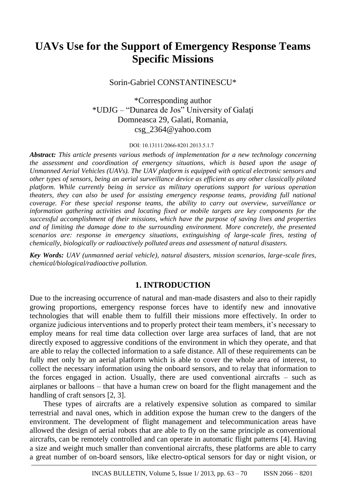# **UAVs Use for the Support of Emergency Response Teams Specific Missions**

# Sorin-Gabriel CONSTANTINESCU\*

\*Corresponding author \*UDJG – "Dunarea de Jos" University of Galaţi Domneasca 29, Galati, Romania, [csg\\_2364@yahoo.com](mailto:csg_2364@yahoo.com)

#### DOI: 10.13111/2066-8201.2013.5.1.7

*Abstract: This article presents various methods of implementation for a new technology concerning the assessment and coordination of emergency situations, which is based upon the usage of Unmanned Aerial Vehicles (UAVs). The UAV platform is equipped with optical electronic sensors and other types of sensors, being an aerial surveillance device as efficient as any other classically piloted platform. While currently being in service as military operations support for various operation theaters, they can also be used for assisting emergency response teams, providing full national coverage. For these special response teams, the ability to carry out overview, surveillance or information gathering activities and locating fixed or mobile targets are key components for the successful accomplishment of their missions, which have the purpose of saving lives and properties and of limiting the damage done to the surrounding environment. More concretely, the presented scenarios are: response in emergency situations, extinguishing of large-scale fires, testing of chemically, biologically or radioactively polluted areas and assessment of natural disasters.*

*Key Words: UAV (unmanned aerial vehicle), natural disasters, mission scenarios, large-scale fires, chemical/biological/radioactive pollution.*

# **1. INTRODUCTION**

Due to the increasing occurrence of natural and man-made disasters and also to their rapidly growing proportions, emergency response forces have to identify new and innovative technologies that will enable them to fulfill their missions more effectively. In order to organize judicious interventions and to properly protect their team members, it's necessary to employ means for real time data collection over large area surfaces of land, that are not directly exposed to aggressive conditions of the environment in which they operate, and that are able to relay the collected information to a safe distance. All of these requirements can be fully met only by an aerial platform which is able to cover the whole area of interest, to collect the necessary information using the onboard sensors, and to relay that information to the forces engaged in action. Usually, there are used conventional aircrafts – such as airplanes or balloons – that have a human crew on board for the flight management and the handling of craft sensors [2, 3].

These types of aircrafts are a relatively expensive solution as compared to similar terrestrial and naval ones, which in addition expose the human crew to the dangers of the environment. The development of flight management and telecommunication areas have allowed the design of aerial robots that are able to fly on the same principle as conventional aircrafts, can be remotely controlled and can operate in automatic flight patterns [4]. Having a size and weight much smaller than conventional aircrafts, these platforms are able to carry a great number of on-board sensors, like electro-optical sensors for day or night vision, or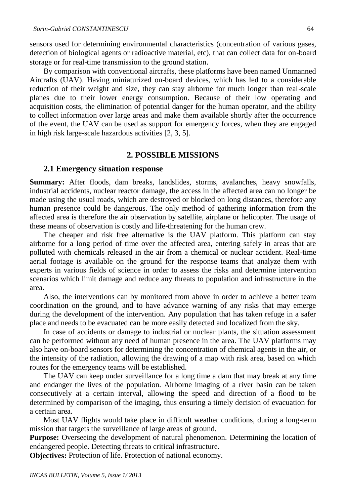sensors used for determining environmental characteristics (concentration of various gases, detection of biological agents or radioactive material, etc), that can collect data for on-board storage or for real-time transmission to the ground station.

By comparison with conventional aircrafts, these platforms have been named Unmanned Aircrafts (UAV). Having miniaturized on-board devices, which has led to a considerable reduction of their weight and size, they can stay airborne for much longer than real-scale planes due to their lower energy consumption. Because of their low operating and acquisition costs, the elimination of potential danger for the human operator, and the ability to collect information over large areas and make them available shortly after the occurrence of the event, the UAV can be used as support for emergency forces, when they are engaged in high risk large-scale hazardous activities [2, 3, 5].

#### **2. POSSIBLE MISSIONS**

#### **2.1 Emergency situation response**

**Summary:** After floods, dam breaks, landslides, storms, avalanches, heavy snowfalls, industrial accidents, nuclear reactor damage, the access in the affected area can no longer be made using the usual roads, which are destroyed or blocked on long distances, therefore any human presence could be dangerous. The only method of gathering information from the affected area is therefore the air observation by satellite, airplane or helicopter. The usage of these means of observation is costly and life-threatening for the human crew.

The cheaper and risk free alternative is the UAV platform. This platform can stay airborne for a long period of time over the affected area, entering safely in areas that are polluted with chemicals released in the air from a chemical or nuclear accident. Real-time aerial footage is available on the ground for the response teams that analyze them with experts in various fields of science in order to assess the risks and determine intervention scenarios which limit damage and reduce any threats to population and infrastructure in the area.

Also, the interventions can by monitored from above in order to achieve a better team coordination on the ground, and to have advance warning of any risks that may emerge during the development of the intervention. Any population that has taken refuge in a safer place and needs to be evacuated can be more easily detected and localized from the sky.

In case of accidents or damage to industrial or nuclear plants, the situation assessment can be performed without any need of human presence in the area. The UAV platforms may also have on-board sensors for determining the concentration of chemical agents in the air, or the intensity of the radiation, allowing the drawing of a map with risk area, based on which routes for the emergency teams will be established.

The UAV can keep under surveillance for a long time a dam that may break at any time and endanger the lives of the population. Airborne imaging of a river basin can be taken consecutively at a certain interval, allowing the speed and direction of a flood to be determined by comparison of the imaging, thus ensuring a timely decision of evacuation for a certain area.

Most UAV flights would take place in difficult weather conditions, during a long-term mission that targets the surveillance of large areas of ground.

**Purpose:** Overseeing the development of natural phenomenon. Determining the location of endangered people. Detecting threats to critical infrastructure.

**Objectives:** Protection of life. Protection of national economy.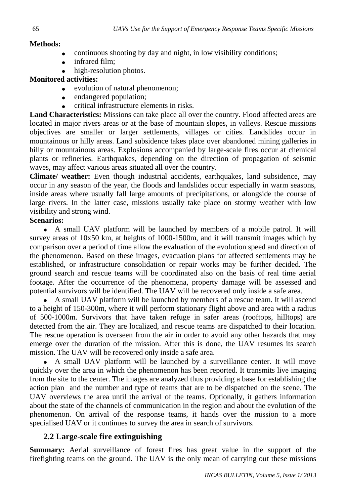## **Methods:**

- continuous shooting by day and night, in low visibility conditions;
- infrared film;
- high-resolution photos.

# **Monitored activities:**

- evolution of natural phenomenon;
- endangered population;
- critical infrastructure elements in risks.

**Land Characteristics:** Missions can take place all over the country. Flood affected areas are located in major rivers areas or at the base of mountain slopes, in valleys. Rescue missions objectives are smaller or larger settlements, villages or cities. Landslides occur in mountainous or hilly areas. Land subsidence takes place over abandoned mining galleries in hilly or mountainous areas. Explosions accompanied by large-scale fires occur at chemical plants or refineries. Earthquakes, depending on the direction of propagation of seismic waves, may affect various areas situated all over the country.

**Climate/ weather:** Even though industrial accidents, earthquakes, land subsidence, may occur in any season of the year, the floods and landslides occur especially in warm seasons, inside areas where usually fall large amounts of precipitations, or alongside the course of large rivers. In the latter case, missions usually take place on stormy weather with low visibility and strong wind.

## **Scenarios:**

 A small UAV platform will be launched by members of a mobile patrol. It will survey areas of 10x50 km, at heights of 1000-1500m, and it will transmit images which by comparison over a period of time allow the evaluation of the evolution speed and direction of the phenomenon. Based on these images, evacuation plans for affected settlements may be established, or infrastructure consolidation or repair works may be further decided. The ground search and rescue teams will be coordinated also on the basis of real time aerial footage. After the occurrence of the phenomena, property damage will be assessed and potential survivors will be identified. The UAV will be recovered only inside a safe area.

 A small UAV platform will be launched by members of a rescue team. It will ascend to a height of 150-300m, where it will perform stationary flight above and area with a radius of 500-1000m. Survivors that have taken refuge in safer areas (rooftops, hilltops) are detected from the air. They are localized, and rescue teams are dispatched to their location. The rescue operation is overseen from the air in order to avoid any other hazards that may emerge over the duration of the mission. After this is done, the UAV resumes its search mission. The UAV will be recovered only inside a safe area.

 A small UAV platform will be launched by a surveillance center. It will move quickly over the area in which the phenomenon has been reported. It transmits live imaging from the site to the center. The images are analyzed thus providing a base for establishing the action plan and the number and type of teams that are to be dispatched on the scene. The UAV overviews the area until the arrival of the teams. Optionally, it gathers information about the state of the channels of communication in the region and about the evolution of the phenomenon. On arrival of the response teams, it hands over the mission to a more specialised UAV or it continues to survey the area in search of survivors.

# **2.2 Large-scale fire extinguishing**

**Summary:** Aerial surveillance of forest fires has great value in the support of the firefighting teams on the ground. The UAV is the only mean of carrying out these missions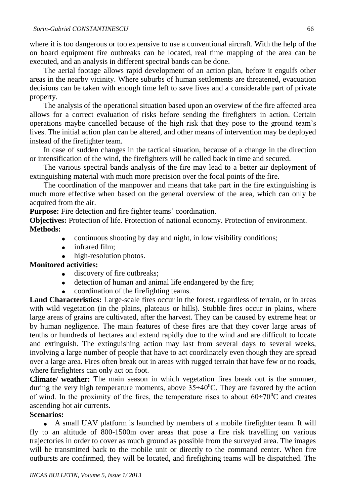where it is too dangerous or too expensive to use a conventional aircraft. With the help of the on board equipment fire outbreaks can be located, real time mapping of the area can be executed, and an analysis in different spectral bands can be done.

The aerial footage allows rapid development of an action plan, before it engulfs other areas in the nearby vicinity. Where suburbs of human settlements are threatened, evacuation decisions can be taken with enough time left to save lives and a considerable part of private property.

The analysis of the operational situation based upon an overview of the fire affected area allows for a correct evaluation of risks before sending the firefighters in action. Certain operations maybe cancelled because of the high risk that they pose to the ground team's lives. The initial action plan can be altered, and other means of intervention may be deployed instead of the firefighter team.

In case of sudden changes in the tactical situation, because of a change in the direction or intensification of the wind, the firefighters will be called back in time and secured.

The various spectral bands analysis of the fire may lead to a better air deployment of extinguishing material with much more precision over the focal points of the fire.

The coordination of the manpower and means that take part in the fire extinguishing is much more effective when based on the general overview of the area, which can only be acquired from the air.

**Purpose:** Fire detection and fire fighter teams' coordination.

**Objectives:** Protection of life. Protection of national economy. Protection of environment. **Methods:**

- continuous shooting by day and night, in low visibility conditions;
- infrared film;
- high-resolution photos.

## **Monitored activities:**

- discovery of fire outbreaks;
- detection of human and animal life endangered by the fire;
- coordination of the firefighting teams.

**Land Characteristics:** Large-scale fires occur in the forest, regardless of terrain, or in areas with wild vegetation (in the plains, plateaus or hills). Stubble fires occur in plains, where large areas of grains are cultivated, after the harvest. They can be caused by extreme heat or by human negligence. The main features of these fires are that they cover large areas of tenths or hundreds of hectares and extend rapidly due to the wind and are difficult to locate and extinguish. The extinguishing action may last from several days to several weeks, involving a large number of people that have to act coordinately even though they are spread over a large area. Fires often break out in areas with rugged terrain that have few or no roads, where firefighters can only act on foot.

**Climate/ weather:** The main season in which vegetation fires break out is the summer, during the very high temperature moments, above  $35\div 40^{\circ}$ C. They are favored by the action of wind. In the proximity of the fires, the temperature rises to about  $60\div70\text{°C}$  and creates ascending hot air currents.

## **Scenarios:**

 A small UAV platform is launched by members of a mobile firefighter team. It will fly to an altitude of 800-1500m over areas that pose a fire risk travelling on various trajectories in order to cover as much ground as possible from the surveyed area. The images will be transmitted back to the mobile unit or directly to the command center. When fire outbursts are confirmed, they will be located, and firefighting teams will be dispatched. The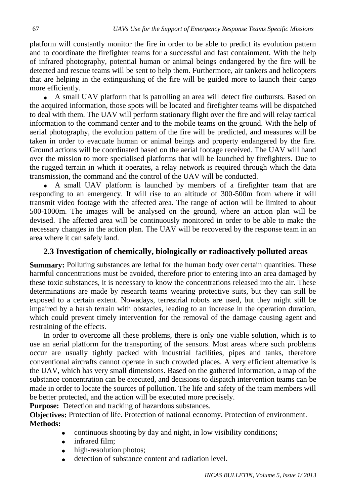platform will constantly monitor the fire in order to be able to predict its evolution pattern and to coordinate the firefighter teams for a successful and fast containment. With the help of infrared photography, potential human or animal beings endangered by the fire will be detected and rescue teams will be sent to help them. Furthermore, air tankers and helicopters that are helping in the extinguishing of the fire will be guided more to launch their cargo more efficiently.

 A small UAV platform that is patrolling an area will detect fire outbursts. Based on the acquired information, those spots will be located and firefighter teams will be dispatched to deal with them. The UAV will perform stationary flight over the fire and will relay tactical information to the command center and to the mobile teams on the ground. With the help of aerial photography, the evolution pattern of the fire will be predicted, and measures will be taken in order to evacuate human or animal beings and property endangered by the fire. Ground actions will be coordinated based on the aerial footage received. The UAV will hand over the mission to more specialised platforms that will be launched by firefighters. Due to the rugged terrain in which it operates, a relay network is required through which the data transmission, the command and the control of the UAV will be conducted.

 A small UAV platform is launched by members of a firefighter team that are responding to an emergency. It will rise to an altitude of 300-500m from where it will transmit video footage with the affected area. The range of action will be limited to about 500-1000m. The images will be analysed on the ground, where an action plan will be devised. The affected area will be continuously monitored in order to be able to make the necessary changes in the action plan. The UAV will be recovered by the response team in an area where it can safely land.

# **2.3 Investigation of chemically, biologically or radioactively polluted areas**

**Summary:** Polluting substances are lethal for the human body over certain quantities. These harmful concentrations must be avoided, therefore prior to entering into an area damaged by these toxic substances, it is necessary to know the concentrations released into the air. These determinations are made by research teams wearing protective suits, but they can still be exposed to a certain extent. Nowadays, terrestrial robots are used, but they might still be impaired by a harsh terrain with obstacles, leading to an increase in the operation duration, which could prevent timely intervention for the removal of the damage causing agent and restraining of the effects.

In order to overcome all these problems, there is only one viable solution, which is to use an aerial platform for the transporting of the sensors. Most areas where such problems occur are usually tightly packed with industrial facilities, pipes and tanks, therefore conventional aircrafts cannot operate in such crowded places. A very efficient alternative is the UAV, which has very small dimensions. Based on the gathered information, a map of the substance concentration can be executed, and decisions to dispatch intervention teams can be made in order to locate the sources of pollution. The life and safety of the team members will be better protected, and the action will be executed more precisely.

**Purpose:** Detection and tracking of hazardous substances.

**Objectives:** Protection of life. Protection of national economy. Protection of environment. **Methods:**

- continuous shooting by day and night, in low visibility conditions;
- infrared film;
- high-resolution photos;
- detection of substance content and radiation level.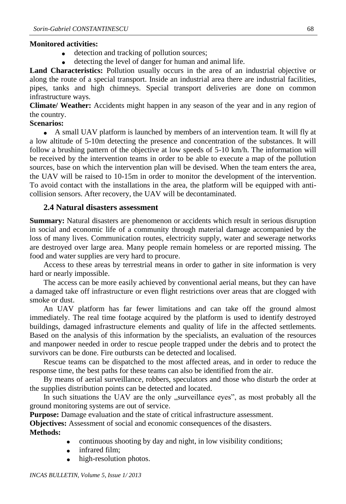### **Monitored activities:**

- detection and tracking of pollution sources;
- detecting the level of danger for human and animal life.

**Land Characteristics:** Pollution usually occurs in the area of an industrial objective or along the route of a special transport. Inside an industrial area there are industrial facilities, pipes, tanks and high chimneys. Special transport deliveries are done on common infrastructure ways.

**Climate/ Weather:** Accidents might happen in any season of the year and in any region of the country.

#### **Scenarios:**

 A small UAV platform is launched by members of an intervention team. It will fly at a low altitude of 5-10m detecting the presence and concentration of the substances. It will follow a brushing pattern of the objective at low speeds of 5-10 km/h. The information will be received by the intervention teams in order to be able to execute a map of the pollution sources, base on which the intervention plan will be devised. When the team enters the area, the UAV will be raised to 10-15m in order to monitor the development of the intervention. To avoid contact with the installations in the area, the platform will be equipped with anticollision sensors. After recovery, the UAV will be decontaminated.

#### **2.4 Natural disasters assessment**

**Summary:** Natural disasters are phenomenon or accidents which result in serious disruption in social and economic life of a community through material damage accompanied by the loss of many lives. Communication routes, electricity supply, water and sewerage networks are destroyed over large area. Many people remain homeless or are reported missing. The food and water supplies are very hard to procure.

Access to these areas by terrestrial means in order to gather in site information is very hard or nearly impossible.

The access can be more easily achieved by conventional aerial means, but they can have a damaged take off infrastructure or even flight restrictions over areas that are clogged with smoke or dust.

An UAV platform has far fewer limitations and can take off the ground almost immediately. The real time footage acquired by the platform is used to identify destroyed buildings, damaged infrastructure elements and quality of life in the affected settlements. Based on the analysis of this information by the specialists, an evaluation of the resources and manpower needed in order to rescue people trapped under the debris and to protect the survivors can be done. Fire outbursts can be detected and localised.

Rescue teams can be dispatched to the most affected areas, and in order to reduce the response time, the best paths for these teams can also be identified from the air.

By means of aerial surveillance, robbers, speculators and those who disturb the order at the supplies distribution points can be detected and located.

In such situations the UAV are the only "surveillance eyes", as most probably all the ground monitoring systems are out of service.

**Purpose:** Damage evaluation and the state of critical infrastructure assessment.

**Objectives:** Assessment of social and economic consequences of the disasters. **Methods:**

- continuous shooting by day and night, in low visibility conditions;
- infrared film;
- high-resolution photos.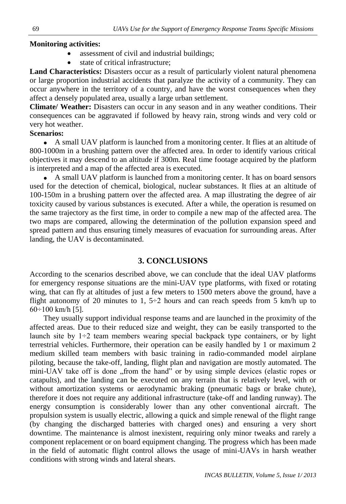## **Monitoring activities:**

- assessment of civil and industrial buildings;
- state of critical infrastructure;

**Land Characteristics:** Disasters occur as a result of particularly violent natural phenomena or large proportion industrial accidents that paralyze the activity of a community. They can occur anywhere in the territory of a country, and have the worst consequences when they affect a densely populated area, usually a large urban settlement.

**Climate/ Weather:** Disasters can occur in any season and in any weather conditions. Their consequences can be aggravated if followed by heavy rain, strong winds and very cold or very hot weather.

## **Scenarios:**

 A small UAV platform is launched from a monitoring center. It flies at an altitude of 800-1000m in a brushing pattern over the affected area. In order to identify various critical objectives it may descend to an altitude if 300m. Real time footage acquired by the platform is interpreted and a map of the affected area is executed.

 A small UAV platform is launched from a monitoring center. It has on board sensors used for the detection of chemical, biological, nuclear substances. It flies at an altitude of 100-150m in a brushing pattern over the affected area. A map illustrating the degree of air toxicity caused by various substances is executed. After a while, the operation is resumed on the same trajectory as the first time, in order to compile a new map of the affected area. The two maps are compared, allowing the determination of the pollution expansion speed and spread pattern and thus ensuring timely measures of evacuation for surrounding areas. After landing, the UAV is decontaminated.

# **3. CONCLUSIONS**

According to the scenarios described above, we can conclude that the ideal UAV platforms for emergency response situations are the mini-UAV type platforms, with fixed or rotating wing, that can fly at altitudes of just a few meters to 1500 meters above the ground, have a flight autonomy of 20 minutes to 1,  $5\div 2$  hours and can reach speeds from 5 km/h up to  $60\div100$  km/h [5].

They usually support individual response teams and are launched in the proximity of the affected areas. Due to their reduced size and weight, they can be easily transported to the launch site by  $1\div 2$  team members wearing special backpack type containers, or by light terrestrial vehicles. Furthermore, their operation can be easily handled by 1 or maximum 2 medium skilled team members with basic training in radio-commanded model airplane piloting, because the take-off, landing, flight plan and navigation are mostly automated. The mini-UAV take off is done "from the hand" or by using simple devices (elastic ropes or catapults), and the landing can be executed on any terrain that is relatively level, with or without amortization systems or aerodynamic braking (pneumatic bags or brake chute), therefore it does not require any additional infrastructure (take-off and landing runway). The energy consumption is considerably lower than any other conventional aircraft. The propulsion system is usually electric, allowing a quick and simple renewal of the flight range (by changing the discharged batteries with charged ones) and ensuring a very short downtime. The maintenance is almost inexistent, requiring only minor tweaks and rarely a component replacement or on board equipment changing. The progress which has been made in the field of automatic flight control allows the usage of mini-UAVs in harsh weather conditions with strong winds and lateral shears.